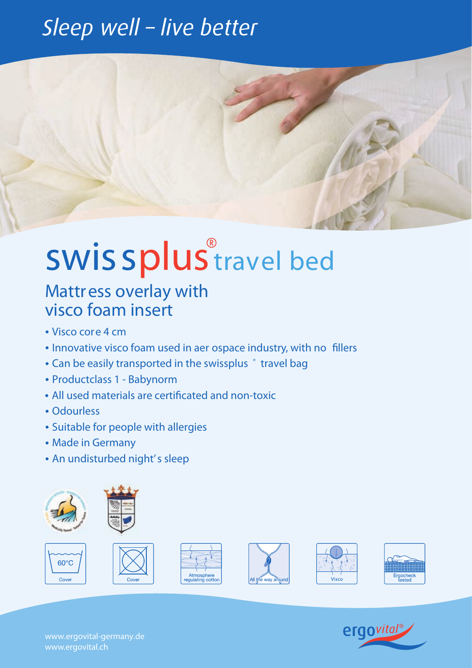### Sleep well - live better



# swiss*plustravel bed*

#### Mattress overlay with visco foam insert

- Visco core 4 cm
- Innovative visco foam used in aer ospace industry, with no fillers
- Can be easily transported in the swissplus  $\degree$  travel bag
- Productclass 1 Babynorm
- All used materials are certificated and non-toxic
- Odourless
- Suitable for people with allergies
- Made in Germany
- An undisturbed night's sleep



 $60^{\circ}$ C

Cove













www.ergovital-germany.de www.ergovital.ch